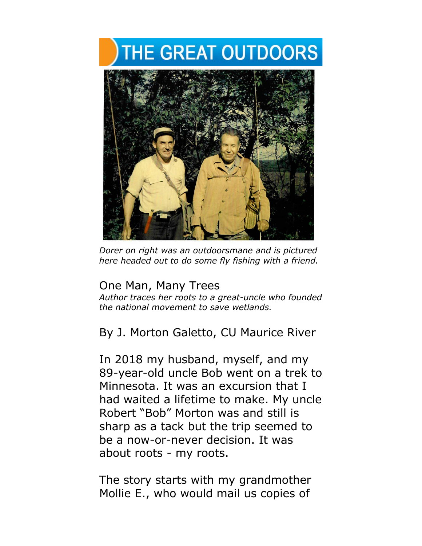## **THE GREAT OUTDOORS**



*Dorer on right was an outdoorsmane and is pictured here headed out to do some fly fishing with a friend.*

## One Man, Many Trees

*Author traces her roots to a great-uncle who founded the national movement to save wetlands.*

By J. Morton Galetto, CU Maurice River

In 2018 my husband, myself, and my 89-year-old uncle Bob went on a trek to Minnesota. It was an excursion that I had waited a lifetime to make. My uncle Robert "Bob" Morton was and still is sharp as a tack but the trip seemed to be a now-or-never decision. It was about roots - my roots.

The story starts with my grandmother Mollie E., who would mail us copies of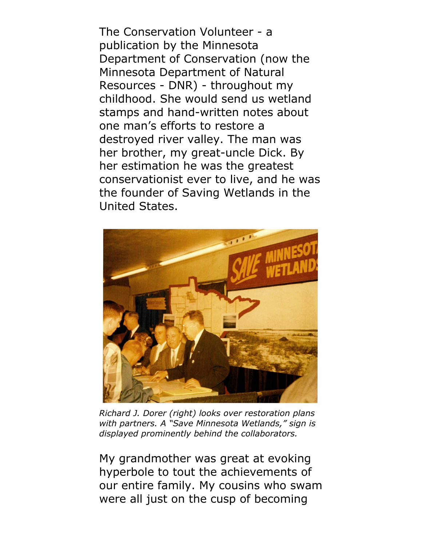The Conservation Volunteer - a publication by the Minnesota Department of Conservation (now the Minnesota Department of Natural Resources - DNR) - throughout my childhood. She would send us wetland stamps and hand-written notes about one man's efforts to restore a destroyed river valley. The man was her brother, my great-uncle Dick. By her estimation he was the greatest conservationist ever to live, and he was the founder of Saving Wetlands in the United States.



*Richard J. Dorer (right) looks over restoration plans with partners. A "Save Minnesota Wetlands," sign is displayed prominently behind the collaborators.* 

My grandmother was great at evoking hyperbole to tout the achievements of our entire family. My cousins who swam were all just on the cusp of becoming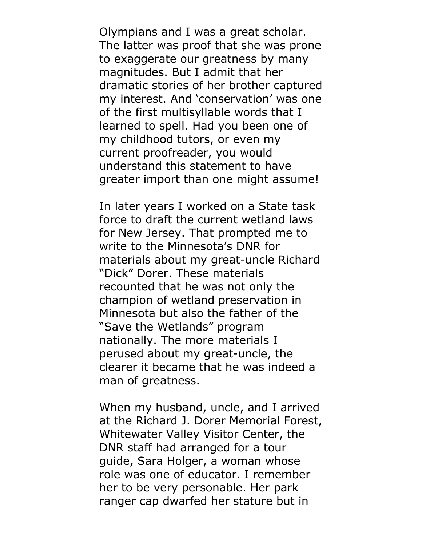Olympians and I was a great scholar. The latter was proof that she was prone to exaggerate our greatness by many magnitudes. But I admit that her dramatic stories of her brother captured my interest. And 'conservation' was one of the first multisyllable words that I learned to spell. Had you been one of my childhood tutors, or even my current proofreader, you would understand this statement to have greater import than one might assume!

In later years I worked on a State task force to draft the current wetland laws for New Jersey. That prompted me to write to the Minnesota's DNR for materials about my great-uncle Richard "Dick" Dorer. These materials recounted that he was not only the champion of wetland preservation in Minnesota but also the father of the "Save the Wetlands" program nationally. The more materials I perused about my great-uncle, the clearer it became that he was indeed a man of greatness.

When my husband, uncle, and I arrived at the Richard J. Dorer Memorial Forest, Whitewater Valley Visitor Center, the DNR staff had arranged for a tour guide, Sara Holger, a woman whose role was one of educator. I remember her to be very personable. Her park ranger cap dwarfed her stature but in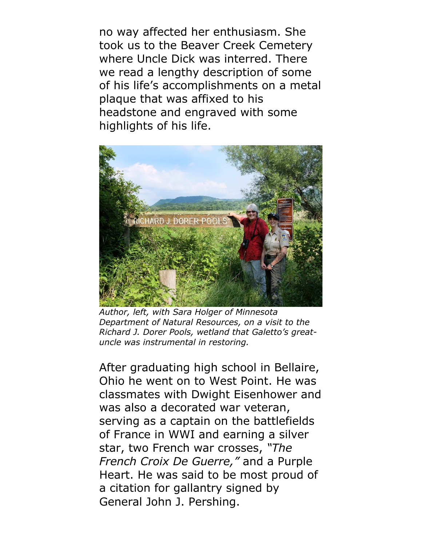no way affected her enthusiasm. She took us to the Beaver Creek Cemetery where Uncle Dick was interred. There we read a lengthy description of some of his life's accomplishments on a metal plaque that was affixed to his headstone and engraved with some highlights of his life.



*Author, left, with Sara Holger of Minnesota Department of Natural Resources, on a visit to the Richard J. Dorer Pools, wetland that Galetto's greatuncle was instrumental in restoring.*

After graduating high school in Bellaire, Ohio he went on to West Point. He was classmates with Dwight Eisenhower and was also a decorated war veteran, serving as a captain on the battlefields of France in WWI and earning a silver star, two French war crosses, *"The French Croix De Guerre,"* and a Purple Heart. He was said to be most proud of a citation for gallantry signed by General John J. Pershing.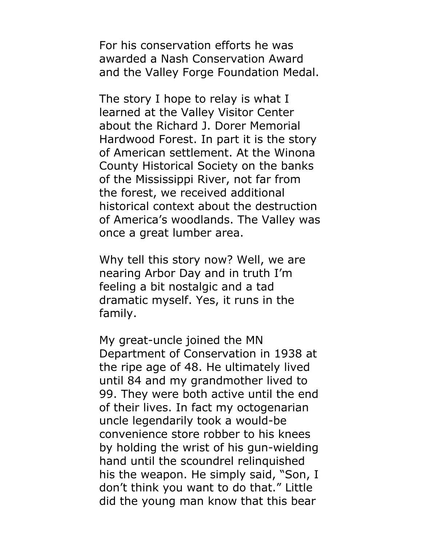For his conservation efforts he was awarded a Nash Conservation Award and the Valley Forge Foundation Medal.

The story I hope to relay is what I learned at the Valley Visitor Center about the Richard J. Dorer Memorial Hardwood Forest. In part it is the story of American settlement. At the Winona County Historical Society on the banks of the Mississippi River, not far from the forest, we received additional historical context about the destruction of America's woodlands. The Valley was once a great lumber area.

Why tell this story now? Well, we are nearing Arbor Day and in truth I'm feeling a bit nostalgic and a tad dramatic myself. Yes, it runs in the family.

My great-uncle joined the MN Department of Conservation in 1938 at the ripe age of 48. He ultimately lived until 84 and my grandmother lived to 99. They were both active until the end of their lives. In fact my octogenarian uncle legendarily took a would-be convenience store robber to his knees by holding the wrist of his gun-wielding hand until the scoundrel relinquished his the weapon. He simply said, "Son, I don't think you want to do that." Little did the young man know that this bear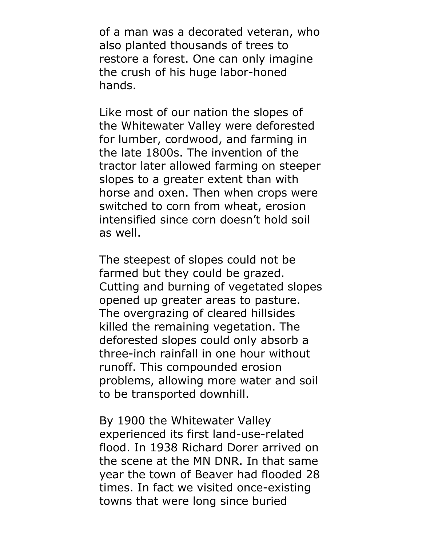of a man was a decorated veteran, who also planted thousands of trees to restore a forest. One can only imagine the crush of his huge labor-honed hands.

Like most of our nation the slopes of the Whitewater Valley were deforested for lumber, cordwood, and farming in the late 1800s. The invention of the tractor later allowed farming on steeper slopes to a greater extent than with horse and oxen. Then when crops were switched to corn from wheat, erosion intensified since corn doesn't hold soil as well.

The steepest of slopes could not be farmed but they could be grazed. Cutting and burning of vegetated slopes opened up greater areas to pasture. The overgrazing of cleared hillsides killed the remaining vegetation. The deforested slopes could only absorb a three-inch rainfall in one hour without runoff. This compounded erosion problems, allowing more water and soil to be transported downhill.

By 1900 the Whitewater Valley experienced its first land-use-related flood. In 1938 Richard Dorer arrived on the scene at the MN DNR. In that same year the town of Beaver had flooded 28 times. In fact we visited once-existing towns that were long since buried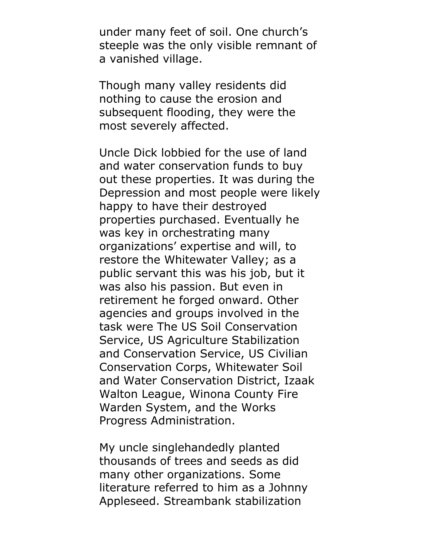under many feet of soil. One church's steeple was the only visible remnant of a vanished village.

Though many valley residents did nothing to cause the erosion and subsequent flooding, they were the most severely affected.

Uncle Dick lobbied for the use of land and water conservation funds to buy out these properties. It was during the Depression and most people were likely happy to have their destroyed properties purchased. Eventually he was key in orchestrating many organizations' expertise and will, to restore the Whitewater Valley; as a public servant this was his job, but it was also his passion. But even in retirement he forged onward. Other agencies and groups involved in the task were The US Soil Conservation Service, US Agriculture Stabilization and Conservation Service, US Civilian Conservation Corps, Whitewater Soil and Water Conservation District, Izaak Walton League, Winona County Fire Warden System, and the Works Progress Administration.

My uncle singlehandedly planted thousands of trees and seeds as did many other organizations. Some literature referred to him as a Johnny Appleseed. Streambank stabilization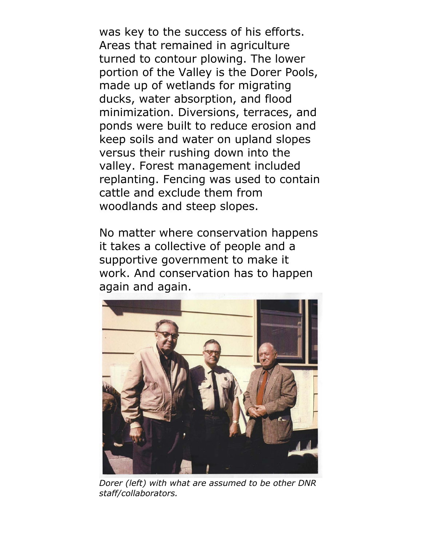was key to the success of his efforts. Areas that remained in agriculture turned to contour plowing. The lower portion of the Valley is the Dorer Pools, made up of wetlands for migrating ducks, water absorption, and flood minimization. Diversions, terraces, and ponds were built to reduce erosion and keep soils and water on upland slopes versus their rushing down into the valley. Forest management included replanting. Fencing was used to contain cattle and exclude them from woodlands and steep slopes.

No matter where conservation happens it takes a collective of people and a supportive government to make it work. And conservation has to happen again and again.



*Dorer (left) with what are assumed to be other DNR staff/collaborators.*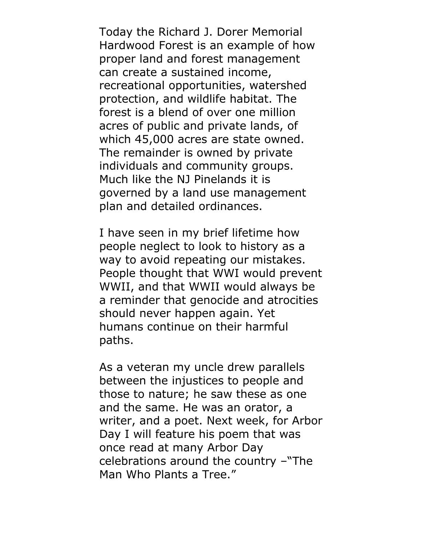Today the Richard J. Dorer Memorial Hardwood Forest is an example of how proper land and forest management can create a sustained income, recreational opportunities, watershed protection, and wildlife habitat. The forest is a blend of over one million acres of public and private lands, of which 45,000 acres are state owned. The remainder is owned by private individuals and community groups. Much like the NJ Pinelands it is governed by a land use management plan and detailed ordinances.

I have seen in my brief lifetime how people neglect to look to history as a way to avoid repeating our mistakes. People thought that WWI would prevent WWII, and that WWII would always be a reminder that genocide and atrocities should never happen again. Yet humans continue on their harmful paths.

As a veteran my uncle drew parallels between the injustices to people and those to nature; he saw these as one and the same. He was an orator, a writer, and a poet. Next week, for Arbor Day I will feature his poem that was once read at many Arbor Day celebrations around the country –"The Man Who Plants a Tree."